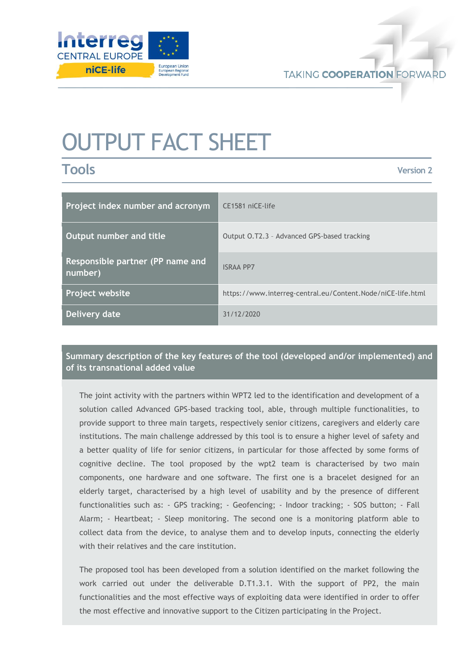

# OUTPUT FACT SHEET

**Tools**

**Version 2**

| Project index number and acronym            | CE1581 niCE-life                                            |
|---------------------------------------------|-------------------------------------------------------------|
| Output number and title                     | Output O.T2.3 - Advanced GPS-based tracking                 |
| Responsible partner (PP name and<br>number) | <b>ISRAA PP7</b>                                            |
| Project website                             | https://www.interreg-central.eu/Content.Node/niCE-life.html |
| Delivery date                               | 31/12/2020                                                  |

## **Summary description of the key features of the tool (developed and/or implemented) and of its transnational added value**

The joint activity with the partners within WPT2 led to the identification and development of a solution called Advanced GPS-based tracking tool, able, through multiple functionalities, to provide support to three main targets, respectively senior citizens, caregivers and elderly care institutions. The main challenge addressed by this tool is to ensure a higher level of safety and a better quality of life for senior citizens, in particular for those affected by some forms of cognitive decline. The tool proposed by the wpt2 team is characterised by two main components, one hardware and one software. The first one is a bracelet designed for an elderly target, characterised by a high level of usability and by the presence of different functionalities such as: - GPS tracking; - Geofencing; - Indoor tracking; - SOS button; - Fall Alarm; - Heartbeat; - Sleep monitoring. The second one is a monitoring platform able to collect data from the device, to analyse them and to develop inputs, connecting the elderly with their relatives and the care institution.

The proposed tool has been developed from a solution identified on the market following the work carried out under the deliverable D.T1.3.1. With the support of PP2, the main functionalities and the most effective ways of exploiting data were identified in order to offer the most effective and innovative support to the Citizen participating in the Project.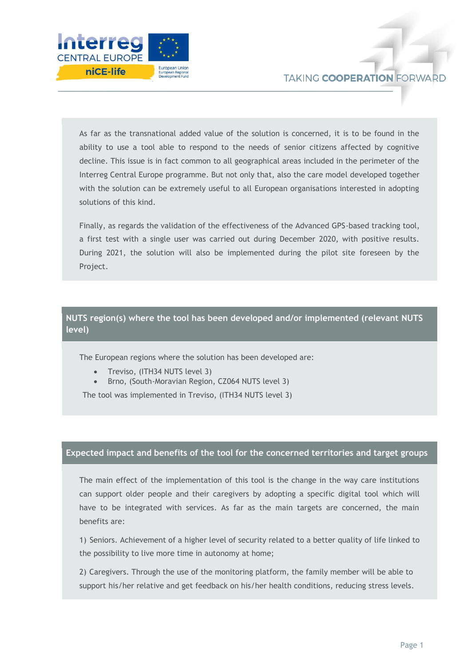

As far as the transnational added value of the solution is concerned, it is to be found in the ability to use a tool able to respond to the needs of senior citizens affected by cognitive decline. This issue is in fact common to all geographical areas included in the perimeter of the Interreg Central Europe programme. But not only that, also the care model developed together with the solution can be extremely useful to all European organisations interested in adopting solutions of this kind.

Finally, as regards the validation of the effectiveness of the Advanced GPS-based tracking tool, a first test with a single user was carried out during December 2020, with positive results. During 2021, the solution will also be implemented during the pilot site foreseen by the Project.

## **NUTS region(s) where the tool has been developed and/or implemented (relevant NUTS level)**

The European regions where the solution has been developed are:

- Treviso, (ITH34 NUTS level 3)
- Brno, (South-Moravian Region, CZ064 NUTS level 3)

The tool was implemented in Treviso, (ITH34 NUTS level 3)

### **Expected impact and benefits of the tool for the concerned territories and target groups**

The main effect of the implementation of this tool is the change in the way care institutions can support older people and their caregivers by adopting a specific digital tool which will have to be integrated with services. As far as the main targets are concerned, the main benefits are:

1) Seniors. Achievement of a higher level of security related to a better quality of life linked to the possibility to live more time in autonomy at home;

2) Caregivers. Through the use of the monitoring platform, the family member will be able to support his/her relative and get feedback on his/her health conditions, reducing stress levels.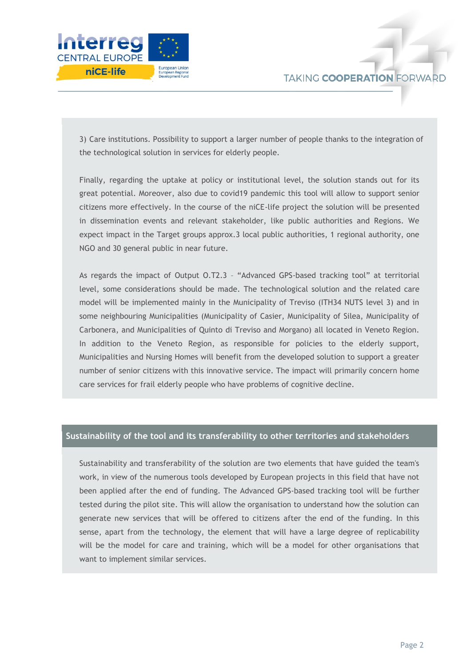

3) Care institutions. Possibility to support a larger number of people thanks to the integration of the technological solution in services for elderly people.

Finally, regarding the uptake at policy or institutional level, the solution stands out for its great potential. Moreover, also due to covid19 pandemic this tool will allow to support senior citizens more effectively. In the course of the niCE-life project the solution will be presented in dissemination events and relevant stakeholder, like public authorities and Regions. We expect impact in the Target groups approx.3 local public authorities, 1 regional authority, one NGO and 30 general public in near future.

As regards the impact of Output O.T2.3 – "Advanced GPS-based tracking tool" at territorial level, some considerations should be made. The technological solution and the related care model will be implemented mainly in the Municipality of Treviso (ITH34 NUTS level 3) and in some neighbouring Municipalities (Municipality of Casier, Municipality of Silea, Municipality of Carbonera, and Municipalities of Quinto di Treviso and Morgano) all located in Veneto Region. In addition to the Veneto Region, as responsible for policies to the elderly support, Municipalities and Nursing Homes will benefit from the developed solution to support a greater number of senior citizens with this innovative service. The impact will primarily concern home care services for frail elderly people who have problems of cognitive decline.

#### **Sustainability of the tool and its transferability to other territories and stakeholders**

Sustainability and transferability of the solution are two elements that have guided the team's work, in view of the numerous tools developed by European projects in this field that have not been applied after the end of funding. The Advanced GPS-based tracking tool will be further tested during the pilot site. This will allow the organisation to understand how the solution can generate new services that will be offered to citizens after the end of the funding. In this sense, apart from the technology, the element that will have a large degree of replicability will be the model for care and training, which will be a model for other organisations that want to implement similar services.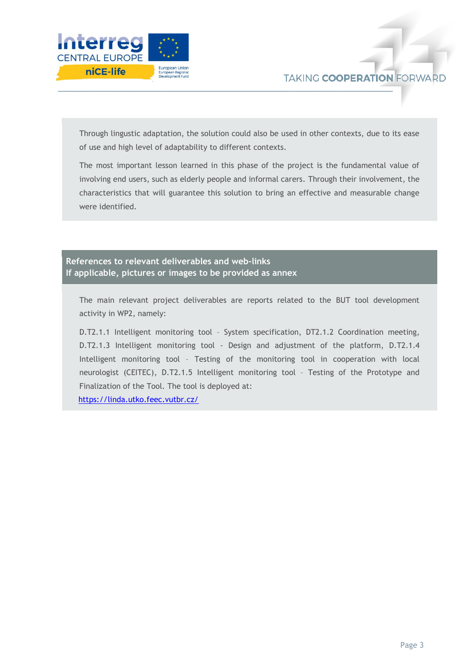

Through lingustic adaptation, the solution could also be used in other contexts, due to its ease of use and high level of adaptability to different contexts.

The most important lesson learned in this phase of the project is the fundamental value of involving end users, such as elderly people and informal carers. Through their involvement, the characteristics that will guarantee this solution to bring an effective and measurable change were identified.

## **References to relevant deliverables and web-links If applicable, pictures or images to be provided as annex**

The main relevant project deliverables are reports related to the BUT tool development activity in WP2, namely:

D.T2.1.1 Intelligent monitoring tool – System specification, DT2.1.2 Coordination meeting, D.T2.1.3 Intelligent monitoring tool - Design and adjustment of the platform, D.T2.1.4 Intelligent monitoring tool – Testing of the monitoring tool in cooperation with local neurologist (CEITEC), D.T2.1.5 Intelligent monitoring tool – Testing of the Prototype and Finalization of the Tool. The tool is deployed at:

<https://linda.utko.feec.vutbr.cz/>